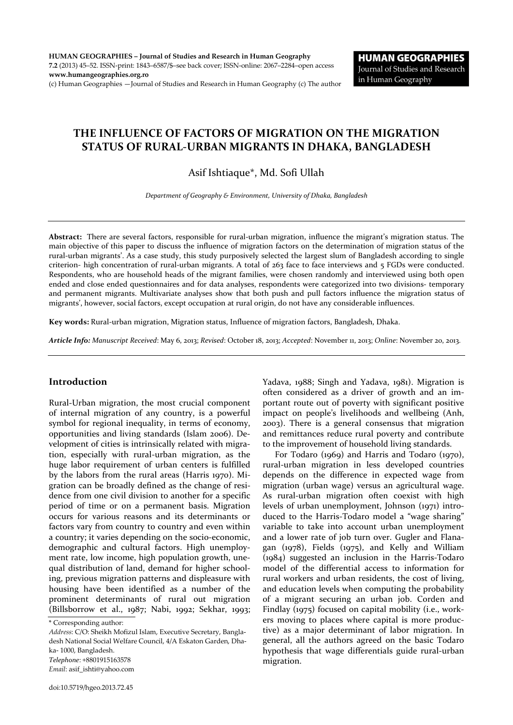HUMAN GEOGRAPHIES – Journal of Studies and Research in Human Geography 7.2 (2013) 45–52. ISSN-print: 1843–6587/\$–see back cover; ISSN-online: 2067–2284–open access www.humangeographies.org.ro (c) Human Geographies —Journal of Studies and Research in Human Geography (c) The author

# THE INFLUENCE OF FACTORS OF MIGRATION ON THE MIGRATION STATUS OF RURAL-URBAN MIGRANTS IN DHAKA, BANGLADESH

# Asif Ishtiaque\*, Md. Sofi Ullah

*Department of Geography & Environment, University of Dhaka, Bangladesh*

Abstract: There are several factors, responsible for rural-urban migration, influence the migrant's migration status. The main objective of this paper to discuss the influence of migration factors on the determination of migration status of the rural-urban migrants'. As a case study, this study purposively selected the largest slum of Bangladesh according to single criterion- high concentration of rural-urban migrants. A total of 263 face to face interviews and 5 FGDs were conducted. Respondents, who are household heads of the migrant families, were chosen randomly and interviewed using both open ended and close ended questionnaires and for data analyses, respondents were categorized into two divisions- temporary and permanent migrants. Multivariate analyses show that both push and pull factors influence the migration status of migrants', however, social factors, except occupation at rural origin, do not have any considerable influences.

Key words: Rural-urban migration, Migration status, Influence of migration factors, Bangladesh, Dhaka.

*Article Info: Manuscript Received*: May 6, 2013; *Revised*: October 18, 2013; *Accepted*: November 11, 2013; *Online*: November 20, 2013.

## Introduction

Rural-Urban migration, the most crucial component of internal migration of any country, is a powerful symbol for regional inequality, in terms of economy, opportunities and living standards (Islam 2006). Development of cities is intrinsically related with migration, especially with rural-urban migration, as the huge labor requirement of urban centers is fulfilled by the labors from the rural areas (Harris 1970). Migration can be broadly defined as the change of residence from one civil division to another for a specific period of time or on a permanent basis. Migration occurs for various reasons and its determinants or factors vary from country to country and even within a country; it varies depending on the socio-economic, demographic and cultural factors. High unemployment rate, low income, high population growth, unequal distribution of land, demand for higher schooling, previous migration patterns and displeasure with housing have been identified as a number of the prominent determinants of rural out migration (Billsborrow et al., 1987; Nabi, 1992; Sekhar, 1993;

*Address*: C/O: Sheikh Mofizul Islam, Executive Secretary, Bangladesh National Social Welfare Council, 4/A Eskaton Garden, Dhaka- 1000, Bangladesh. *Telephone*: +8801915163578

*Email*: asif\_ishti@yahoo.com

Yadava, 1988; Singh and Yadava, 1981). Migration is often considered as a driver of growth and an important route out of poverty with significant positive impact on people's livelihoods and wellbeing (Anh, 2003). There is a general consensus that migration and remittances reduce rural poverty and contribute to the improvement of household living standards.

For Todaro (1969) and Harris and Todaro (1970), rural-urban migration in less developed countries depends on the difference in expected wage from migration (urban wage) versus an agricultural wage. As rural-urban migration often coexist with high levels of urban unemployment, Johnson (1971) introduced to the Harris-Todaro model a "wage sharing" variable to take into account urban unemployment and a lower rate of job turn over. Gugler and Flanagan (1978), Fields (1975), and Kelly and William (1984) suggested an inclusion in the Harris-Todaro model of the differential access to information for rural workers and urban residents, the cost of living, and education levels when computing the probability of a migrant securing an urban job. Corden and Findlay (1975) focused on capital mobility (i.e., workers moving to places where capital is more productive) as a major determinant of labor migration. In general, all the authors agreed on the basic Todaro hypothesis that wage differentials guide rural-urban migration.

<sup>\*</sup> Corresponding author: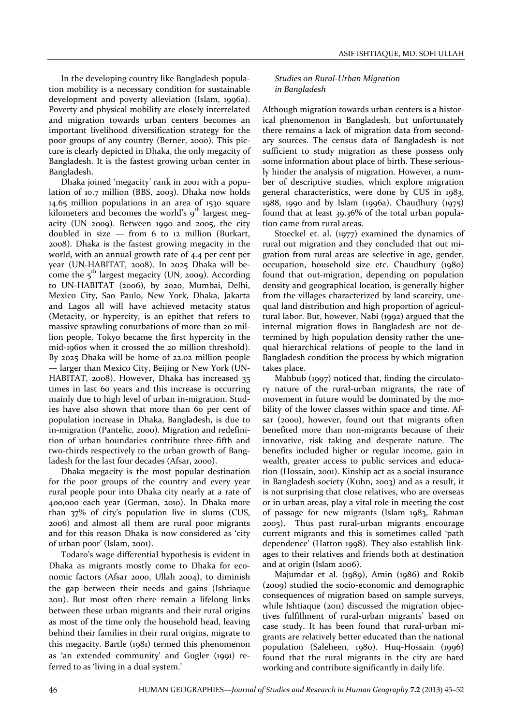In the developing country like Bangladesh population mobility is a necessary condition for sustainable development and poverty alleviation (Islam, 1996a). Poverty and physical mobility are closely interrelated and migration towards urban centers becomes an important livelihood diversification strategy for the poor groups of any country (Berner, 2000). This picture is clearly depicted in Dhaka, the only megacity of Bangladesh. It is the fastest growing urban center in Bangladesh.

Dhaka joined 'megacity' rank in 2001 with a population of 10.7 million (BBS, 2003). Dhaka now holds 14.65 million populations in an area of 1530 square kilometers and becomes the world's  $9<sup>th</sup>$  largest megacity (UN 2009). Between 1990 and 2005, the city doubled in size — from 6 to 12 million (Burkart, 2008). Dhaka is the fastest growing megacity in the world, with an annual growth rate of 4.4 per cent per year (UN-HABITAT, 2008). In 2025 Dhaka will become the  $5<sup>th</sup>$  largest megacity (UN, 2009). According to UN-HABITAT (2006), by 2020, Mumbai, Delhi, Mexico City, Sao Paulo, New York, Dhaka, Jakarta and Lagos all will have achieved metacity status (Metacity, or hypercity, is an epithet that refers to massive sprawling conurbations of more than 20 million people. Tokyo became the first hypercity in the mid-1960s when it crossed the 20 million threshold). By 2025 Dhaka will be home of 22.02 million people — larger than Mexico City, Beijing or New York (UN-HABITAT, 2008). However, Dhaka has increased 35 times in last 60 years and this increase is occurring mainly due to high level of urban in-migration. Studies have also shown that more than 60 per cent of population increase in Dhaka, Bangladesh, is due to in-migration (Pantelic, 2000). Migration and redefinition of urban boundaries contribute three-fifth and two-thirds respectively to the urban growth of Bangladesh for the last four decades (Afsar, 2000).

Dhaka megacity is the most popular destination for the poor groups of the country and every year rural people pour into Dhaka city nearly at a rate of 400,000 each year (German, 2010). In Dhaka more than 37% of city's population live in slums (CUS, 2006) and almost all them are rural poor migrants and for this reason Dhaka is now considered as 'city of urban poor' (Islam, 2001).

Todaro's wage differential hypothesis is evident in Dhaka as migrants mostly come to Dhaka for economic factors (Afsar 2000, Ullah 2004), to diminish the gap between their needs and gains (Ishtiaque 2011). But most often there remain a lifelong links between these urban migrants and their rural origins as most of the time only the household head, leaving behind their families in their rural origins, migrate to this megacity. Bartle (1981) termed this phenomenon as 'an extended community' and Gugler (1991) referred to as 'living in a dual system.'

# *Studies on Rural-Urban Migration in Bangladesh*

Although migration towards urban centers is a historical phenomenon in Bangladesh, but unfortunately there remains a lack of migration data from secondary sources. The census data of Bangladesh is not sufficient to study migration as these possess only some information about place of birth. These seriously hinder the analysis of migration. However, a number of descriptive studies, which explore migration general characteristics, were done by CUS in 1983, 1988, 1990 and by Islam (1996a). Chaudhury (1975) found that at least 39.36% of the total urban population came from rural areas.

Stoeckel et. al. (1977) examined the dynamics of rural out migration and they concluded that out migration from rural areas are selective in age, gender, occupation, household size etc. Chaudhury (1980) found that out-migration, depending on population density and geographical location, is generally higher from the villages characterized by land scarcity, unequal land distribution and high proportion of agricultural labor. But, however, Nabi (1992) argued that the internal migration flows in Bangladesh are not determined by high population density rather the unequal hierarchical relations of people to the land in Bangladesh condition the process by which migration takes place.

Mahbub (1997) noticed that, finding the circulatory nature of the rural-urban migrants, the rate of movement in future would be dominated by the mobility of the lower classes within space and time. Afsar (2000), however, found out that migrants often benefited more than non-migrants because of their innovative, risk taking and desperate nature. The benefits included higher or regular income, gain in wealth, greater access to public services and education (Hossain, 2001). Kinship act as a social insurance in Bangladesh society (Kuhn, 2003) and as a result, it is not surprising that close relatives, who are overseas or in urban areas, play a vital role in meeting the cost of passage for new migrants (Islam 1983, Rahman 2005). Thus past rural-urban migrants encourage current migrants and this is sometimes called 'path dependence' (Hatton 1998). They also establish linkages to their relatives and friends both at destination and at origin (Islam 2006).

Majumdar et al. (1989), Amin (1986) and Rokib (2009) studied the socio-economic and demographic consequences of migration based on sample surveys, while Ishtiaque (2011) discussed the migration objectives fulfillment of rural-urban migrants' based on case study. It has been found that rural-urban migrants are relatively better educated than the national population (Saleheen, 1980). Huq-Hossain (1996) found that the rural migrants in the city are hard working and contribute significantly in daily life.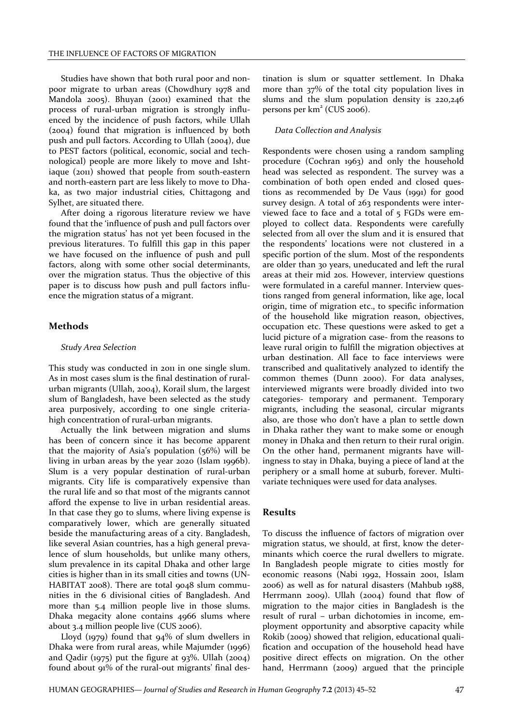Studies have shown that both rural poor and nonpoor migrate to urban areas (Chowdhury 1978 and Mandola 2005). Bhuyan (2001) examined that the process of rural-urban migration is strongly influenced by the incidence of push factors, while Ullah (2004) found that migration is influenced by both push and pull factors. According to Ullah (2004), due to PEST factors (political, economic, social and technological) people are more likely to move and Ishtiaque (2011) showed that people from south-eastern and north-eastern part are less likely to move to Dhaka, as two major industrial cities, Chittagong and Sylhet, are situated there.

After doing a rigorous literature review we have found that the 'influence of push and pull factors over the migration status' has not yet been focused in the previous literatures. To fulfill this gap in this paper we have focused on the influence of push and pull factors, along with some other social determinants, over the migration status. Thus the objective of this paper is to discuss how push and pull factors influence the migration status of a migrant.

# Methods

#### *Study Area Selection*

This study was conducted in 2011 in one single slum. As in most cases slum is the final destination of ruralurban migrants (Ullah, 2004), Korail slum, the largest slum of Bangladesh, have been selected as the study area purposively, according to one single criteriahigh concentration of rural-urban migrants.

Actually the link between migration and slums has been of concern since it has become apparent that the majority of Asia's population (56%) will be living in urban areas by the year 2020 (Islam 1996b). Slum is a very popular destination of rural-urban migrants. City life is comparatively expensive than the rural life and so that most of the migrants cannot afford the expense to live in urban residential areas. In that case they go to slums, where living expense is comparatively lower, which are generally situated beside the manufacturing areas of a city. Bangladesh, like several Asian countries, has a high general prevalence of slum households, but unlike many others, slum prevalence in its capital Dhaka and other large cities is higher than in its small cities and towns (UN-HABITAT 2008). There are total 9048 slum communities in the 6 divisional cities of Bangladesh. And more than 5.4 million people live in those slums. Dhaka megacity alone contains 4966 slums where about 3.4 million people live (CUS 2006).

Lloyd (1979) found that 94% of slum dwellers in Dhaka were from rural areas, while Majumder (1996) and Qadir (1975) put the figure at 93%. Ullah (2004) found about 91% of the rural-out migrants' final destination is slum or squatter settlement. In Dhaka more than 37% of the total city population lives in slums and the slum population density is 220,246 persons per km<sup>2</sup> (CUS 2006).

#### *Data Collection and Analysis*

Respondents were chosen using a random sampling procedure (Cochran 1963) and only the household head was selected as respondent. The survey was a combination of both open ended and closed questions as recommended by De Vaus (1991) for good survey design. A total of 263 respondents were interviewed face to face and a total of 5 FGDs were employed to collect data. Respondents were carefully selected from all over the slum and it is ensured that the respondents' locations were not clustered in a specific portion of the slum. Most of the respondents are older than 30 years, uneducated and left the rural areas at their mid 20s. However, interview questions were formulated in a careful manner. Interview questions ranged from general information, like age, local origin, time of migration etc., to specific information of the household like migration reason, objectives, occupation etc. These questions were asked to get a lucid picture of a migration case- from the reasons to leave rural origin to fulfill the migration objectives at urban destination. All face to face interviews were transcribed and qualitatively analyzed to identify the common themes (Dunn 2000). For data analyses, interviewed migrants were broadly divided into two categories- temporary and permanent. Temporary migrants, including the seasonal, circular migrants also, are those who don't have a plan to settle down in Dhaka rather they want to make some or enough money in Dhaka and then return to their rural origin. On the other hand, permanent migrants have willingness to stay in Dhaka, buying a piece of land at the periphery or a small home at suburb, forever. Multivariate techniques were used for data analyses.

### Results

To discuss the influence of factors of migration over migration status, we should, at first, know the determinants which coerce the rural dwellers to migrate. In Bangladesh people migrate to cities mostly for economic reasons (Nabi 1992, Hossain 2001, Islam 2006) as well as for natural disasters (Mahbub 1988, Herrmann 2009). Ullah (2004) found that flow of migration to the major cities in Bangladesh is the result of rural – urban dichotomies in income, employment opportunity and absorptive capacity while Rokib (2009) showed that religion, educational qualification and occupation of the household head have positive direct effects on migration. On the other hand, Herrmann (2009) argued that the principle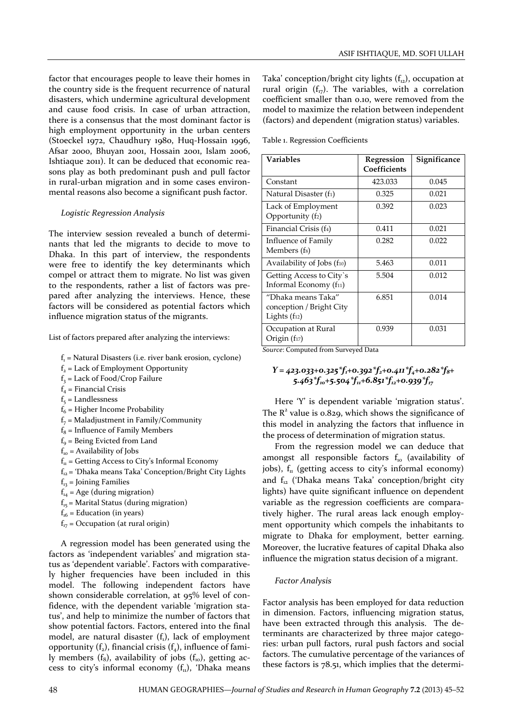factor that encourages people to leave their homes in the country side is the frequent recurrence of natural disasters, which undermine agricultural development and cause food crisis. In case of urban attraction, there is a consensus that the most dominant factor is high employment opportunity in the urban centers (Stoeckel 1972, Chaudhury 1980, Huq-Hossain 1996, Afsar 2000, Bhuyan 2001, Hossain 2001, Islam 2006, Ishtiaque 2011). It can be deduced that economic reasons play as both predominant push and pull factor in rural-urban migration and in some cases environmental reasons also become a significant push factor.

## *Logistic Regression Analysis*

The interview session revealed a bunch of determinants that led the migrants to decide to move to Dhaka. In this part of interview, the respondents were free to identify the key determinants which compel or attract them to migrate. No list was given to the respondents, rather a list of factors was prepared after analyzing the interviews. Hence, these factors will be considered as potential factors which influence migration status of the migrants.

List of factors prepared after analyzing the interviews:

- $f_1$  = Natural Disasters (i.e. river bank erosion, cyclone)
- $f<sub>2</sub>$  = Lack of Employment Opportunity
- $f_3$  = Lack of Food/Crop Failure
- $f_4$  = Financial Crisis
- $f<sub>5</sub> =$  Landlessness
- $f_6$  = Higher Income Probability
- $f<sub>7</sub>$  = Maladjustment in Family/Community
- $f_8$  = Influence of Family Members
- $f<sub>o</sub>$  = Being Evicted from Land
- $f_{10}$  = Availability of Jobs
- $f<sub>11</sub>$  = Getting Access to City's Informal Economy
- $f_{12}$  = 'Dhaka means Taka' Conception/Bright City Lights
- $f_{13}$  = Joining Families
- $f_{14}$  = Age (during migration)
- $f_{15}$  = Marital Status (during migration)
- $f_{16}$  = Education (in years)
- $f_{17}$  = Occupation (at rural origin)

A regression model has been generated using the factors as 'independent variables' and migration status as 'dependent variable'. Factors with comparatively higher frequencies have been included in this model. The following independent factors have shown considerable correlation, at 95% level of confidence, with the dependent variable 'migration status', and help to minimize the number of factors that show potential factors. Factors, entered into the final model, are natural disaster  $(f_1)$ , lack of employment opportunity  $(f_2)$ , financial crisis  $(f_4)$ , influence of family members  $(f_8)$ , availability of jobs  $(f_{10})$ , getting access to city's informal economy  $(f_n)$ , 'Dhaka means Taka' conception/bright city lights  $(f<sub>12</sub>)$ , occupation at rural origin  $(f_{17})$ . The variables, with a correlation coefficient smaller than 0.10, were removed from the model to maximize the relation between independent (factors) and dependent (migration status) variables.

Table 1. Regression Coefficients

| Variables                                                                   | Regression<br>Coefficients | Significance |
|-----------------------------------------------------------------------------|----------------------------|--------------|
| Constant                                                                    | 423.033                    | 0.045        |
| Natural Disaster (f1)                                                       | 0.325                      | 0.021        |
| Lack of Employment<br>Opportunity (f2)                                      | 0.392                      | 0.023        |
| Financial Crisis (f <sub>4</sub> )                                          | 0.411                      | 0.021        |
| Influence of Family<br>Members (f <sub>8</sub> )                            | 0.282                      | 0.022        |
| Availability of Jobs (f10)                                                  | 5.463                      | 0.011        |
| Getting Access to City's<br>Informal Economy (f11)                          | 5.504                      | 0.012        |
| "Dhaka means Taka"<br>conception / Bright City<br>Lights (f <sub>12</sub> ) | 6.851                      | 0.014        |
| Occupation at Rural<br>Origin (f17)                                         | 0.939                      | 0.031        |

*Source*: Computed from Surveyed Data

# $Y = 423.033 + 0.325 * f_1 + 0.392 * f_2 + 0.411 * f_4 + 0.282 * f_8 +$ *5.463\*f10+5.504\*f11+6.851\*f12+0.939\*f17*

Here 'Y' is dependent variable 'migration status'. The  $R^2$  value is 0.829, which shows the significance of this model in analyzing the factors that influence in the process of determination of migration status.

From the regression model we can deduce that amongst all responsible factors  $f_{10}$  (availability of jobs),  $f<sub>n</sub>$  (getting access to city's informal economy) and  $f_{12}$  ('Dhaka means Taka' conception/bright city lights) have quite significant influence on dependent variable as the regression coefficients are comparatively higher. The rural areas lack enough employment opportunity which compels the inhabitants to migrate to Dhaka for employment, better earning. Moreover, the lucrative features of capital Dhaka also influence the migration status decision of a migrant.

#### *Factor Analysis*

Factor analysis has been employed for data reduction in dimension. Factors, influencing migration status, have been extracted through this analysis. The determinants are characterized by three major categories: urban pull factors, rural push factors and social factors. The cumulative percentage of the variances of these factors is 78.51, which implies that the determi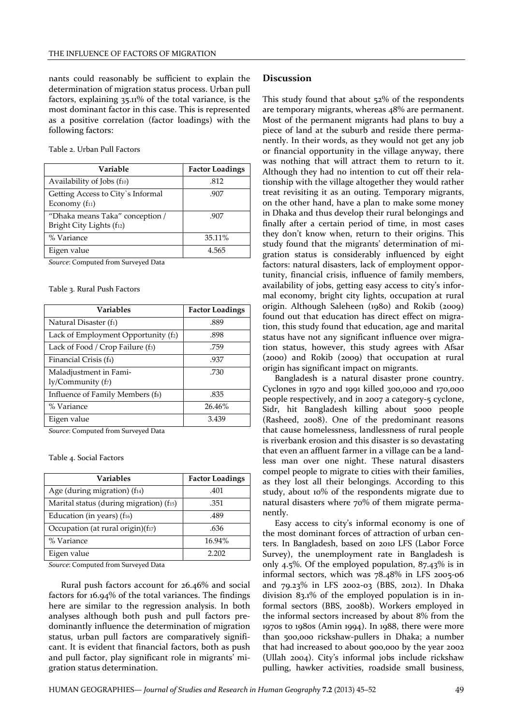nants could reasonably be sufficient to explain the determination of migration status process. Urban pull factors, explaining 35.11% of the total variance, is the most dominant factor in this case. This is represented as a positive correlation (factor loadings) with the following factors:

Table 2. Urban Pull Factors

| Variable                                                    | <b>Factor Loadings</b> |
|-------------------------------------------------------------|------------------------|
| Availability of Jobs (f10)                                  | .812                   |
| Getting Access to City's Informal<br>Economy $(f_{11})$     | .907                   |
| "Dhaka means Taka" conception /<br>Bright City Lights (f12) | -907                   |
| % Variance                                                  | 35.11%                 |
| Eigen value                                                 | 4.565                  |

*Source*: Computed from Surveyed Data

Table 3. Rural Push Factors

| <b>Variables</b>                                             | <b>Factor Loadings</b> |
|--------------------------------------------------------------|------------------------|
| Natural Disaster (f <sub>1</sub> )                           | .889                   |
| Lack of Employment Opportunity (f2)                          | .898                   |
| Lack of Food / Crop Failure (f <sub>3</sub> )                | .759                   |
| Financial Crisis (f <sub>4</sub> )                           | .937                   |
| Maladjustment in Fami-<br>$\frac{1}{\sqrt{C}}$ ommunity (fz) | .730                   |
| Influence of Family Members (fs)                             | .835                   |
| % Variance                                                   | 26.46%                 |
| Eigen value                                                  | 3.439                  |

*Source*: Computed from Surveyed Data

Table 4. Social Factors

| <b>Variables</b>                        | <b>Factor Loadings</b> |
|-----------------------------------------|------------------------|
| Age (during migration) (f14)            | .401                   |
| Marital status (during migration) (f15) | .351                   |
| Education (in years) $(f_{16})$         | .489                   |
| Occupation (at rural origin)(f17)       | .636                   |
| % Variance                              | 16.94%                 |
| Eigen value                             | 2.202                  |

*Source*: Computed from Surveyed Data

Rural push factors account for 26.46% and social factors for 16.94% of the total variances. The findings here are similar to the regression analysis. In both analyses although both push and pull factors predominantly influence the determination of migration status, urban pull factors are comparatively significant. It is evident that financial factors, both as push and pull factor, play significant role in migrants' migration status determination.

#### Discussion

This study found that about 52% of the respondents are temporary migrants, whereas 48% are permanent. Most of the permanent migrants had plans to buy a piece of land at the suburb and reside there permanently. In their words, as they would not get any job or financial opportunity in the village anyway, there was nothing that will attract them to return to it. Although they had no intention to cut off their relationship with the village altogether they would rather treat revisiting it as an outing. Temporary migrants, on the other hand, have a plan to make some money in Dhaka and thus develop their rural belongings and finally after a certain period of time, in most cases they don't know when, return to their origins. This study found that the migrants' determination of migration status is considerably influenced by eight factors: natural disasters, lack of employment opportunity, financial crisis, influence of family members, availability of jobs, getting easy access to city's informal economy, bright city lights, occupation at rural origin. Although Saleheen (1980) and Rokib (2009) found out that education has direct effect on migration, this study found that education, age and marital status have not any significant influence over migration status, however, this study agrees with Afsar (2000) and Rokib (2009) that occupation at rural origin has significant impact on migrants.

Bangladesh is a natural disaster prone country. Cyclones in 1970 and 1991 killed 300,000 and 170,000 people respectively, and in 2007 a category-5 cyclone, Sidr, hit Bangladesh killing about 5000 people (Rasheed, 2008). One of the predominant reasons that cause homelessness, landlessness of rural people is riverbank erosion and this disaster is so devastating that even an affluent farmer in a village can be a landless man over one night. These natural disasters compel people to migrate to cities with their families, as they lost all their belongings. According to this study, about 10% of the respondents migrate due to natural disasters where 70% of them migrate permanently.

Easy access to city's informal economy is one of the most dominant forces of attraction of urban centers. In Bangladesh, based on 2010 LFS (Labor Force Survey), the unemployment rate in Bangladesh is only 4.5%. Of the employed population, 87.43% is in informal sectors, which was 78.48% in LFS 2005-06 and 79.23% in LFS 2002-03 (BBS, 2012). In Dhaka division 83.1% of the employed population is in informal sectors (BBS, 2008b). Workers employed in the informal sectors increased by about 8% from the 1970s to 1980s (Amin 1994). In 1988, there were more than 500,000 rickshaw-pullers in Dhaka; a number that had increased to about 900,000 by the year 2002 (Ullah 2004). City's informal jobs include rickshaw pulling, hawker activities, roadside small business,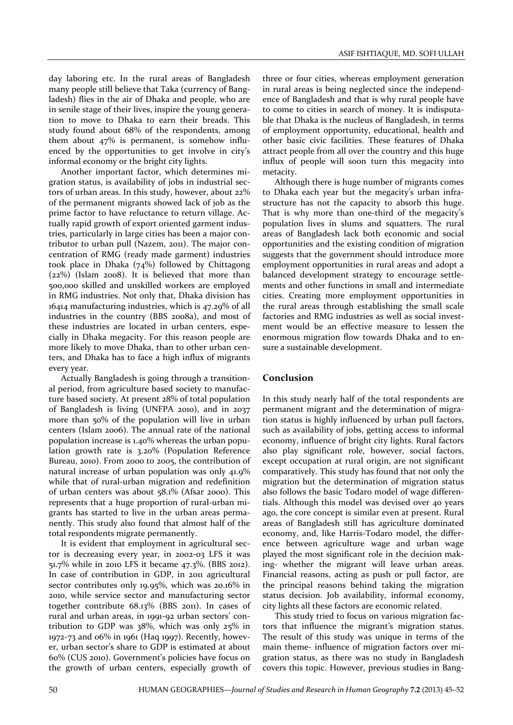day laboring etc. In the rural areas of Bangladesh many people still believe that Taka (currency of Bangladesh) flies in the air of Dhaka and people, who are in senile stage of their lives, inspire the young generation to move to Dhaka to earn their breads. This study found about 68% of the respondents, among them about 47% is permanent, is somehow influenced by the opportunities to get involve in city's informal economy or the bright city lights.

Another important factor, which determines migration status, is availability of jobs in industrial sectors of urban areas. In this study, however, about 22% of the permanent migrants showed lack of job as the prime factor to have reluctance to return village. Actually rapid growth of export oriented garment industries, particularly in large cities has been a major contributor to urban pull (Nazem, 2011). The major concentration of RMG (ready made garment) industries took place in Dhaka (74%) followed by Chittagong (22%) (Islam 2008). It is believed that more than 500,000 skilled and unskilled workers are employed in RMG industries. Not only that, Dhaka division has 16414 manufacturing industries, which is 47.29% of all industries in the country (BBS 2008a), and most of these industries are located in urban centers, especially in Dhaka megacity. For this reason people are more likely to move Dhaka, than to other urban centers, and Dhaka has to face a high influx of migrants every year.

Actually Bangladesh is going through a transitional period, from agriculture based society to manufacture based society. At present 28% of total population of Bangladesh is living (UNFPA 2010), and in 2037 more than 50% of the population will live in urban centers (Islam 2006). The annual rate of the national population increase is 1.40% whereas the urban population growth rate is 3.20% (Population Reference Bureau, 2010). From 2000 to 2005, the contribution of natural increase of urban population was only 41.9% while that of rural-urban migration and redefinition of urban centers was about 58.1% (Afsar 2000). This represents that a huge proportion of rural-urban migrants has started to live in the urban areas permanently. This study also found that almost half of the total respondents migrate permanently.

It is evident that employment in agricultural sector is decreasing every year, in 2002-03 LFS it was 51.7% while in 2010 LFS it became 47.3%. (BBS 2012). In case of contribution in GDP, in 2011 agricultural sector contributes only 19.95%, which was 20.16% in 2010, while service sector and manufacturing sector together contribute 68.13% (BBS 2011). In cases of rural and urban areas, in 1991-92 urban sectors' contribution to GDP was 38%, which was only 25% in 1972-73 and 06% in 1961 (Haq 1997). Recently, however, urban sector's share to GDP is estimated at about 60% (CUS 2010). Government's policies have focus on the growth of urban centers, especially growth of three or four cities, whereas employment generation in rural areas is being neglected since the independence of Bangladesh and that is why rural people have to come to cities in search of money. It is indisputable that Dhaka is the nucleus of Bangladesh, in terms of employment opportunity, educational, health and other basic civic facilities. These features of Dhaka attract people from all over the country and this huge influx of people will soon turn this megacity into metacity.

Although there is huge number of migrants comes to Dhaka each year but the megacity's urban infrastructure has not the capacity to absorb this huge. That is why more than one-third of the megacity's population lives in slums and squatters. The rural areas of Bangladesh lack both economic and social opportunities and the existing condition of migration suggests that the government should introduce more employment opportunities in rural areas and adopt a balanced development strategy to encourage settlements and other functions in small and intermediate cities. Creating more employment opportunities in the rural areas through establishing the small scale factories and RMG industries as well as social investment would be an effective measure to lessen the enormous migration flow towards Dhaka and to ensure a sustainable development.

# Conclusion

In this study nearly half of the total respondents are permanent migrant and the determination of migration status is highly influenced by urban pull factors, such as availability of jobs, getting access to informal economy, influence of bright city lights. Rural factors also play significant role, however, social factors, except occupation at rural origin, are not significant comparatively. This study has found that not only the migration but the determination of migration status also follows the basic Todaro model of wage differentials. Although this model was devised over 40 years ago, the core concept is similar even at present. Rural areas of Bangladesh still has agriculture dominated economy, and, like Harris-Todaro model, the difference between agriculture wage and urban wage played the most significant role in the decision making- whether the migrant will leave urban areas. Financial reasons, acting as push or pull factor, are the principal reasons behind taking the migration status decision. Job availability, informal economy, city lights all these factors are economic related.

This study tried to focus on various migration factors that influence the migrant's migration status. The result of this study was unique in terms of the main theme- influence of migration factors over migration status, as there was no study in Bangladesh covers this topic. However, previous studies in Bang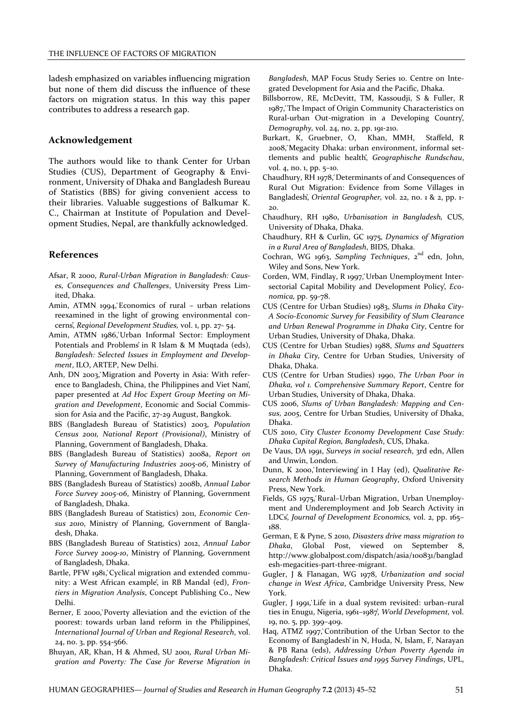ladesh emphasized on variables influencing migration but none of them did discuss the influence of these factors on migration status. In this way this paper contributes to address a research gap.

# Acknowledgement

The authors would like to thank Center for Urban Studies (CUS), Department of Geography & Environment, University of Dhaka and Bangladesh Bureau of Statistics (BBS) for giving convenient access to their libraries. Valuable suggestions of Balkumar K. C., Chairman at Institute of Population and Development Studies, Nepal, are thankfully acknowledged.

### References

- Afsar, R 2000, *Rural-Urban Migration in Bangladesh: Causes, Consequences and Challenges*, University Press Limited, Dhaka.
- Amin, ATMN 1994, Economics of rural urban relations reexamined in the light of growing environmental concerns̕, *Regional Development Studies,* vol. 1, pp. 27- 54.
- Amin, ATMN 1986, Urban Informal Sector: Employment Potentials and Problems̕ in R Islam & M Muqtada (eds), *Bangladesh: Selected Issues in Employment and Development*, ILO, ARTEP, New Delhi.
- Anh, DN 2003. Migration and Poverty in Asia: With reference to Bangladesh, China, the Philippines and Viet Nam̕, paper presented at *Ad Hoc Expert Group Meeting on Migration and Development*, Economic and Social Commission for Asia and the Pacific, 27-29 August, Bangkok.
- BBS (Bangladesh Bureau of Statistics) 2003, *Population Census 2001, National Report (Provisional)*, Ministry of Planning, Government of Bangladesh, Dhaka.
- BBS (Bangladesh Bureau of Statistics) 2008a, *Report on Survey of Manufacturing Industries 2005-06*, Ministry of Planning, Government of Bangladesh, Dhaka.
- BBS (Bangladesh Bureau of Statistics) 2008b, *Annual Labor Force Survey 2005-06*, Ministry of Planning, Government of Bangladesh, Dhaka.
- BBS (Bangladesh Bureau of Statistics) 2011, *Economic Census 2010*, Ministry of Planning, Government of Bangladesh, Dhaka.
- BBS (Bangladesh Bureau of Statistics) 2012, *Annual Labor Force Survey 2009-10*, Ministry of Planning, Government of Bangladesh, Dhaka.
- Bartle, PFW 1981, Cyclical migration and extended community: a West African example̕, in RB Mandal (ed), *Frontiers in Migration Analysis*, Concept Publishing Co., New Delhi.
- Berner, E 2000, Poverty alleviation and the eviction of the poorest: towards urban land reform in the Philippines̕, *International Journal of Urban and Regional Research*, vol. 24, no. 3, pp. 554-566.
- Bhuyan, AR, Khan, H & Ahmed, SU 2001, *Rural Urban Migration and Poverty: The Case for Reverse Migration in*

*Bangladesh*, MAP Focus Study Series 10. Centre on Integrated Development for Asia and the Pacific, Dhaka.

- Billsborrow, RE, McDevitt, TM, Kassoudji, S & Fuller, R 1987, The Impact of Origin Community Characteristics on Rural-urban Out-migration in a Developing Country<sup>'</sup>, *Demography,* vol. 24, no. 2, pp. 191-210.
- Burkart, K, Gruebner, O, Khan, MMH, Staffeld, R 2008, Megacity Dhaka: urban environment, informal settlements and public health̕, *Geographische Rundschau*, vol. 4, no. 1, pp. 5–10.
- Chaudhury, RH 1978, Determinants of and Consequences of Rural Out Migration: Evidence from Some Villages in Bangladesh̕, *Oriental Geographer,* vol. 22, no. 1 & 2, pp. 1- 20.
- Chaudhury, RH 1980, *Urbanisation in Bangladesh,* CUS, University of Dhaka, Dhaka.
- Chaudhury, RH & Curlin, GC 1975, *Dynamics of Migration in a Rural Area of Bangladesh*, BIDS, Dhaka.
- Cochran, WG 1963, Sampling Techniques, 2<sup>nd</sup> edn, John, Wiley and Sons, New York.
- Corden, WM, Findlay, R 1997, Urban Unemployment Intersectorial Capital Mobility and Development Policy<sup>'</sup>, *Economica,* pp. 59-78.
- CUS (Centre for Urban Studies) 1983, *Slums in Dhaka City-A Socio-Economic Survey for Feasibility of Slum Clearance and Urban Renewal Programme in Dhaka City*, Centre for Urban Studies, University of Dhaka, Dhaka.
- CUS (Centre for Urban Studies) 1988, *Slums and Squatters in Dhaka City,* Centre for Urban Studies, University of Dhaka, Dhaka.
- CUS (Centre for Urban Studies) 1990, *The Urban Poor in Dhaka, vol 1. Comprehensive Summary Report*, Centre for Urban Studies, University of Dhaka, Dhaka.
- CUS 2006, *Slums of Urban Bangladesh: Mapping and Census, 2005*, Centre for Urban Studies, University of Dhaka, Dhaka.
- CUS 2010, *City Cluster Economy Development Case Study: Dhaka Capital Region, Bangladesh*, CUS, Dhaka.
- De Vaus, DA 1991, *Surveys in social research*, 3rd edn, Allen and Unwin, London.
- Dunn, K 2000, Interviewing in I Hay (ed), *Qualitative Research Methods in Human Geography*, Oxford University Press, New York.
- Fields, GS 1975, Rural-Urban Migration, Urban Unemployment and Underemployment and Job Search Activity in LDCs̕, *Journal of Development Economics,* vol. 2, pp. 165– 188.
- German, E & Pyne, S 2010, *Disasters drive mass migration to Dhaka*, Global Post, viewed on September 8, http://www.globalpost.com/dispatch/asia/100831/banglad esh-megacities-part-three-migrant.
- Gugler, J & Flanagan, WG 1978, *Urbanization and social change in West Africa*, Cambridge University Press, New York.
- Gugler, J 1991, Life in a dual system revisited: urban-rural ties in Enugu, Nigeria, 1961–1987̕, *World Development,* vol. 19, no. 5, pp. 399–409.
- Haq, ATMZ 1997, Contribution of the Urban Sector to the Economy of Bangladesh̕ in N, Huda, N, Islam, F, Narayan & PB Rana (eds), *Addressing Urban Poverty Agenda in Bangladesh: Critical Issues and 1995 Survey Findings*, UPL, Dhaka.